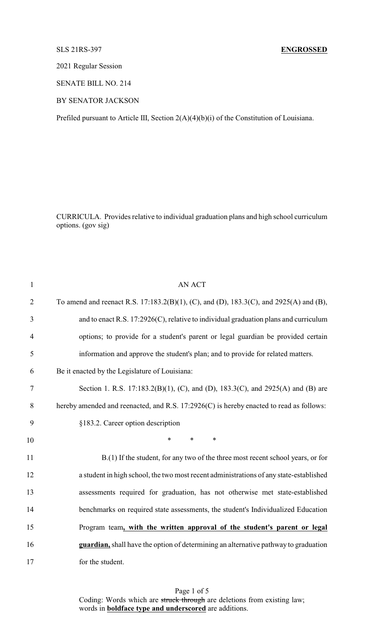## SLS 21RS-397 **ENGROSSED**

2021 Regular Session

SENATE BILL NO. 214

BY SENATOR JACKSON

Prefiled pursuant to Article III, Section 2(A)(4)(b)(i) of the Constitution of Louisiana.

CURRICULA. Provides relative to individual graduation plans and high school curriculum options. (gov sig)

| $\mathbf{1}$   | <b>AN ACT</b>                                                                           |
|----------------|-----------------------------------------------------------------------------------------|
| $\overline{2}$ | To amend and reenact R.S. 17:183.2(B)(1), (C), and (D), 183.3(C), and 2925(A) and (B),  |
| 3              | and to enact R.S. $17:2926(C)$ , relative to individual graduation plans and curriculum |
| $\overline{4}$ | options; to provide for a student's parent or legal guardian be provided certain        |
| 5              | information and approve the student's plan; and to provide for related matters.         |
| 6              | Be it enacted by the Legislature of Louisiana:                                          |
| 7              | Section 1. R.S. 17:183.2(B)(1), (C), and (D), 183.3(C), and 2925(A) and (B) are         |
| 8              | hereby amended and reenacted, and R.S. 17:2926(C) is hereby enacted to read as follows: |
| 9              | §183.2. Career option description                                                       |
| 10             | $\ast$<br>$\ast$<br>$\ast$                                                              |
| 11             | B.(1) If the student, for any two of the three most recent school years, or for         |
| 12             | a student in high school, the two most recent administrations of any state-established  |
| 13             | assessments required for graduation, has not otherwise met state-established            |
| 14             | benchmarks on required state assessments, the student's Individualized Education        |
| 15             | Program team, with the written approval of the student's parent or legal                |
| 16             | guardian, shall have the option of determining an alternative pathway to graduation     |
| 17             | for the student.                                                                        |

Page 1 of 5 Coding: Words which are struck through are deletions from existing law; words in **boldface type and underscored** are additions.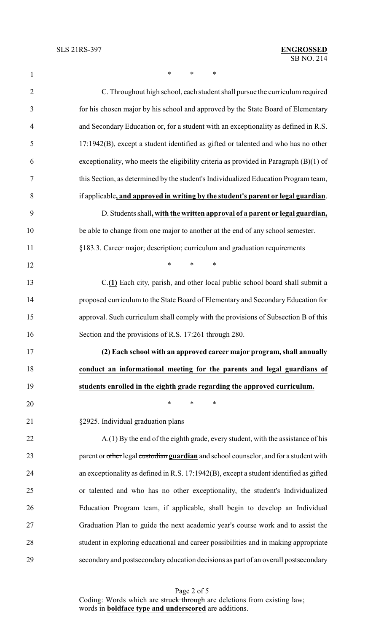**\* \* \*** \*

| $\overline{2}$ | C. Throughout high school, each student shall pursue the curriculum required            |
|----------------|-----------------------------------------------------------------------------------------|
| 3              | for his chosen major by his school and approved by the State Board of Elementary        |
| $\overline{4}$ | and Secondary Education or, for a student with an exceptionality as defined in R.S.     |
| 5              | $17:1942(B)$ , except a student identified as gifted or talented and who has no other   |
| 6              | exceptionality, who meets the eligibility criteria as provided in Paragraph $(B)(1)$ of |
| $\overline{7}$ | this Section, as determined by the student's Individualized Education Program team,     |
| 8              | if applicable, and approved in writing by the student's parent or legal guardian.       |
| 9              | D. Students shall, with the written approval of a parent or legal guardian,             |
| 10             | be able to change from one major to another at the end of any school semester.          |
| 11             | §183.3. Career major; description; curriculum and graduation requirements               |
| 12             | $\ast$<br>$\ast$<br>$\ast$                                                              |
| 13             | C.(1) Each city, parish, and other local public school board shall submit a             |
| 14             | proposed curriculum to the State Board of Elementary and Secondary Education for        |
| 15             | approval. Such curriculum shall comply with the provisions of Subsection B of this      |
| 16             | Section and the provisions of R.S. 17:261 through 280.                                  |
| 17             | (2) Each school with an approved career major program, shall annually                   |
| 18             | conduct an informational meeting for the parents and legal guardians of                 |
| 19             | students enrolled in the eighth grade regarding the approved curriculum.                |
| 20             | $\ast$<br>*<br>∗                                                                        |
| 21             | §2925. Individual graduation plans                                                      |
| 22             | A.(1) By the end of the eighth grade, every student, with the assistance of his         |
| 23             | parent or other legal custodian guardian and school counselor, and for a student with   |
| 24             | an exceptionality as defined in R.S. 17:1942(B), except a student identified as gifted  |
| 25             | or talented and who has no other exceptionality, the student's Individualized           |
| 26             | Education Program team, if applicable, shall begin to develop an Individual             |
| 27             | Graduation Plan to guide the next academic year's course work and to assist the         |
| 28             | student in exploring educational and career possibilities and in making appropriate     |
| 29             | secondary and postsecondary education decisions as part of an overall postsecondary     |

Page 2 of 5 Coding: Words which are struck through are deletions from existing law; words in **boldface type and underscored** are additions.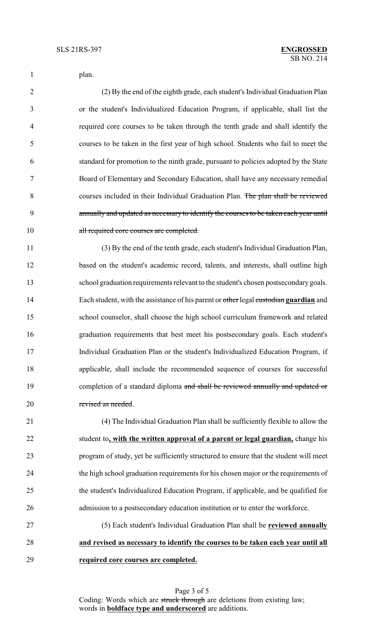|  | plan. |
|--|-------|
|--|-------|

 (2) By the end of the eighth grade, each student's Individual Graduation Plan or the student's Individualized Education Program, if applicable, shall list the required core courses to be taken through the tenth grade and shall identify the courses to be taken in the first year of high school. Students who fail to meet the standard for promotion to the ninth grade, pursuant to policies adopted by the State Board of Elementary and Secondary Education, shall have any necessary remedial courses included in their Individual Graduation Plan. The plan shall be reviewed annually and updated as necessary to identify the courses to be taken each year until 10 all required core courses are completed.

 (3) By the end of the tenth grade, each student's Individual Graduation Plan, based on the student's academic record, talents, and interests, shall outline high school graduation requirements relevant to the student's chosen postsecondary goals. Each student, with the assistance of his parent or other legal custodian **guardian** and school counselor, shall choose the high school curriculum framework and related graduation requirements that best meet his postsecondary goals. Each student's Individual Graduation Plan or the student's Individualized Education Program, if applicable, shall include the recommended sequence of courses for successful 19 completion of a standard diploma and shall be reviewed annually and updated or revised as needed.

 (4) The Individual Graduation Plan shall be sufficiently flexible to allow the student to**, with the written approval of a parent or legal guardian,** change his program of study, yet be sufficiently structured to ensure that the student will meet the high school graduation requirements for his chosen major or the requirements of the student's Individualized Education Program, if applicable, and be qualified for admission to a postsecondary education institution or to enter the workforce.

 (5) Each student's Individual Graduation Plan shall be **reviewed annually and revised as necessary to identify the courses to be taken each year until all required core courses are completed.**

> Page 3 of 5 Coding: Words which are struck through are deletions from existing law; words in **boldface type and underscored** are additions.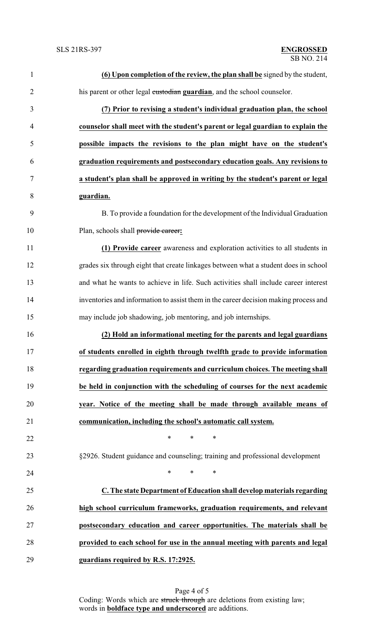| $\mathbf{1}$   | (6) Upon completion of the review, the plan shall be signed by the student,          |
|----------------|--------------------------------------------------------------------------------------|
| $\overline{2}$ | his parent or other legal custodian guardian, and the school counselor.              |
| 3              | (7) Prior to revising a student's individual graduation plan, the school             |
| $\overline{4}$ | counselor shall meet with the student's parent or legal guardian to explain the      |
| 5              | possible impacts the revisions to the plan might have on the student's               |
| 6              | graduation requirements and postsecondary education goals. Any revisions to          |
| $\tau$         | a student's plan shall be approved in writing by the student's parent or legal       |
| 8              | guardian.                                                                            |
| 9              | B. To provide a foundation for the development of the Individual Graduation          |
| 10             | Plan, schools shall provide eareer:                                                  |
| 11             | (1) Provide career awareness and exploration activities to all students in           |
| 12             | grades six through eight that create linkages between what a student does in school  |
| 13             | and what he wants to achieve in life. Such activities shall include career interest  |
| 14             | inventories and information to assist them in the career decision making process and |
| 15             | may include job shadowing, job mentoring, and job internships.                       |
| 16             | (2) Hold an informational meeting for the parents and legal guardians                |
| 17             | of students enrolled in eighth through twelfth grade to provide information          |
| 18             | regarding graduation requirements and curriculum choices. The meeting shall          |
| 19             | be held in conjunction with the scheduling of courses for the next academic          |
| 20             | year. Notice of the meeting shall be made through available means of                 |
| 21             | communication, including the school's automatic call system.                         |
| 22             | $\ast$<br>*<br>$\ast$                                                                |
| 23             | §2926. Student guidance and counseling; training and professional development        |
| 24             | $\ast$<br>$\ast$<br>$\ast$                                                           |
| 25             | C. The state Department of Education shall develop materials regarding               |
| 26             | high school curriculum frameworks, graduation requirements, and relevant             |
| 27             | postsecondary education and career opportunities. The materials shall be             |
| 28             | provided to each school for use in the annual meeting with parents and legal         |
| 29             | guardians required by R.S. 17:2925.                                                  |